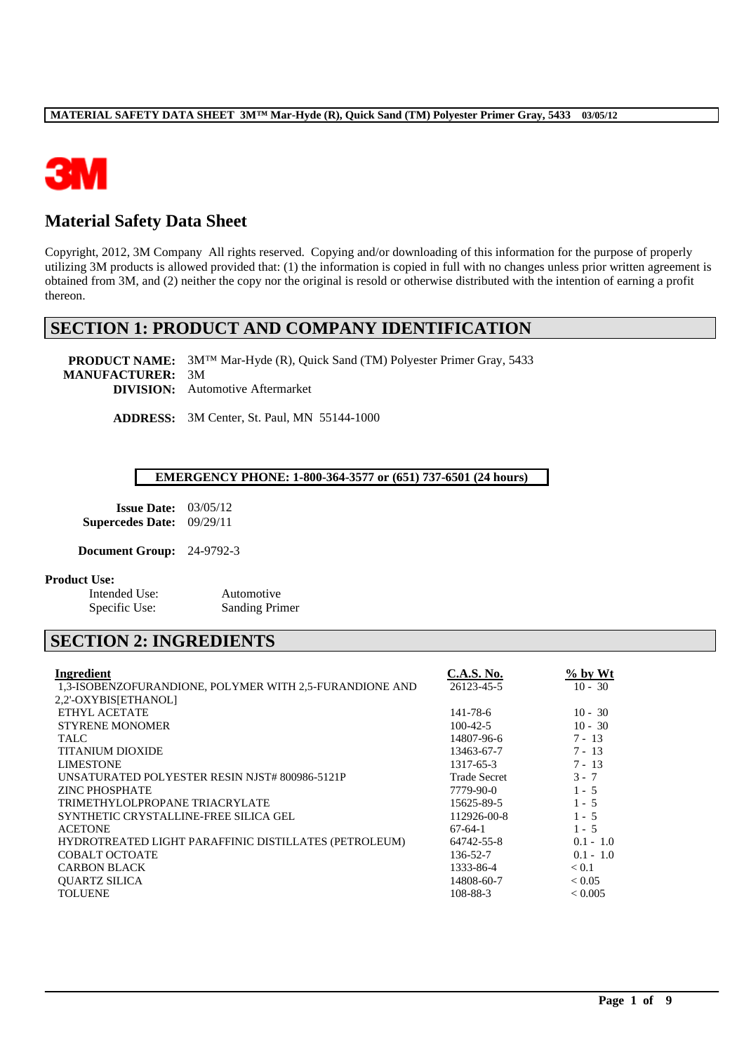

# **Material Safety Data Sheet**

Copyright, 2012, 3M Company All rights reserved. Copying and/or downloading of this information for the purpose of properly utilizing 3M products is allowed provided that: (1) the information is copied in full with no changes unless prior written agreement is obtained from 3M, and (2) neither the copy nor the original is resold or otherwise distributed with the intention of earning a profit thereon.

## **SECTION 1: PRODUCT AND COMPANY IDENTIFICATION**

**PRODUCT NAME:** 3M™ Mar-Hyde (R), Quick Sand (TM) Polyester Primer Gray, 5433 **MANUFACTURER:** 3M **DIVISION:** Automotive Aftermarket

**ADDRESS:** 3M Center, St. Paul, MN 55144-1000

### **EMERGENCY PHONE: 1-800-364-3577 or (651) 737-6501 (24 hours)**

| <b>Issue Date:</b>      | 03/05/12 |
|-------------------------|----------|
| <b>Supercedes Date:</b> | 09/29/11 |

**Document Group:** 24-9792-3

### **Product Use:**

Intended Use: Automotive Specific Use: Sanding Primer

# **SECTION 2: INGREDIENTS**

| Ingredient                                              | <b>C.A.S. No.</b>   | % by Wt        |
|---------------------------------------------------------|---------------------|----------------|
| 1,3-ISOBENZOFURANDIONE, POLYMER WITH 2,5-FURANDIONE AND | 26123-45-5          | $10 - 30$      |
| 2,2'-OXYBIS[ETHANOL]                                    |                     |                |
| ETHYL ACETATE                                           | 141-78-6            | $10 - 30$      |
| <b>STYRENE MONOMER</b>                                  | $100-42-5$          | $10 - 30$      |
| <b>TALC</b>                                             | 14807-96-6          | $7 - 13$       |
| <b>TITANIUM DIOXIDE</b>                                 | 13463-67-7          | $7 - 13$       |
| <b>LIMESTONE</b>                                        | 1317-65-3           | $7 - 13$       |
| UNSATURATED POLYESTER RESIN NJST# 800986-5121P          | <b>Trade Secret</b> | $3 - 7$        |
| <b>ZINC PHOSPHATE</b>                                   | 7779-90-0           | $1 - 5$        |
| TRIMETHYLOLPROPANE TRIACRYLATE                          | 15625-89-5          | $1 - 5$        |
| SYNTHETIC CRYSTALLINE-FREE SILICA GEL                   | 112926-00-8         | $1 - 5$        |
| <b>ACETONE</b>                                          | $67-64-1$           | $1 - 5$        |
| HYDROTREATED LIGHT PARAFFINIC DISTILLATES (PETROLEUM)   | 64742-55-8          | $0.1 - 1.0$    |
| COBALT OCTOATE                                          | 136-52-7            | $0.1 - 1.0$    |
| <b>CARBON BLACK</b>                                     | 1333-86-4           | < 0.1          |
| <b>OUARTZ SILICA</b>                                    | 14808-60-7          | ${}_{< 0.05}$  |
| <b>TOLUENE</b>                                          | 108-88-3            | ${}_{< 0.005}$ |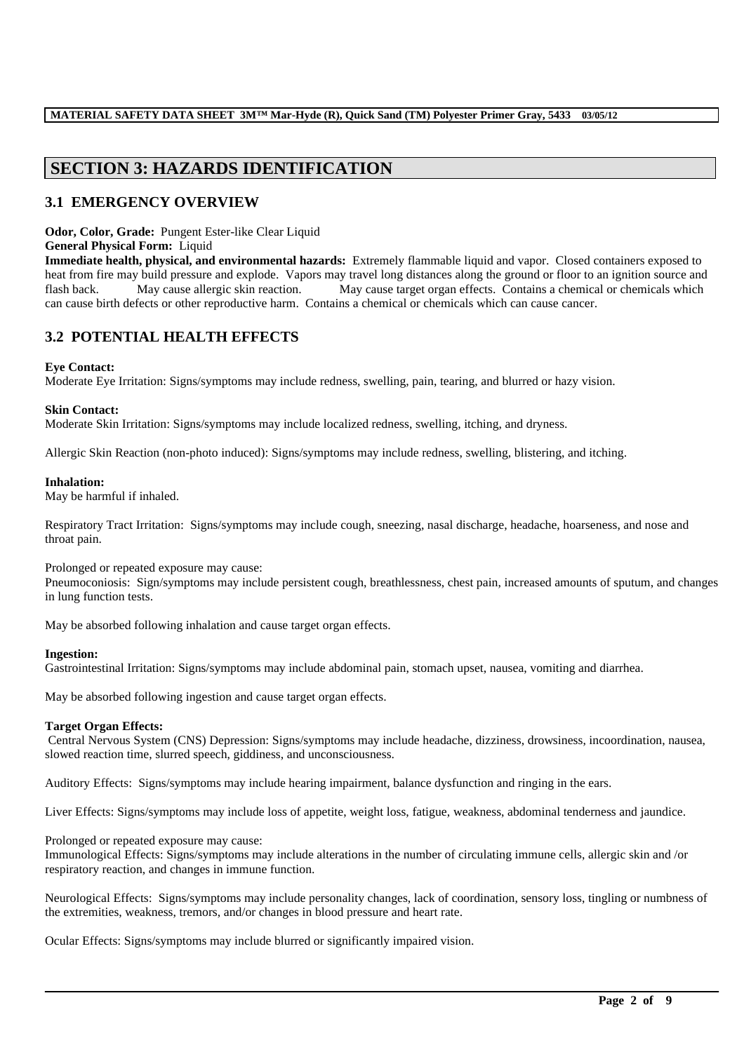# **SECTION 3: HAZARDS IDENTIFICATION**

### **3.1 EMERGENCY OVERVIEW**

**Odor, Color, Grade:** Pungent Ester-like Clear Liquid

### **General Physical Form:** Liquid

**Immediate health, physical, and environmental hazards:** Extremely flammable liquid and vapor. Closed containers exposed to heat from fire may build pressure and explode. Vapors may travel long distances along the ground or floor to an ignition source and flash back. May cause allergic skin reaction. May cause target organ effects. Contains a chemical or chemicals which can cause birth defects or other reproductive harm. Contains a chemical or chemicals which can cause cancer.

## **3.2 POTENTIAL HEALTH EFFECTS**

### **Eye Contact:**

Moderate Eye Irritation: Signs/symptoms may include redness, swelling, pain, tearing, and blurred or hazy vision.

### **Skin Contact:**

Moderate Skin Irritation: Signs/symptoms may include localized redness, swelling, itching, and dryness.

Allergic Skin Reaction (non-photo induced): Signs/symptoms may include redness, swelling, blistering, and itching.

#### **Inhalation:**

May be harmful if inhaled.

Respiratory Tract Irritation: Signs/symptoms may include cough, sneezing, nasal discharge, headache, hoarseness, and nose and throat pain.

### Prolonged or repeated exposure may cause:

Pneumoconiosis: Sign/symptoms may include persistent cough, breathlessness, chest pain, increased amounts of sputum, and changes in lung function tests.

May be absorbed following inhalation and cause target organ effects.

### **Ingestion:**

Gastrointestinal Irritation: Signs/symptoms may include abdominal pain, stomach upset, nausea, vomiting and diarrhea.

May be absorbed following ingestion and cause target organ effects.

### **Target Organ Effects:**

Central Nervous System (CNS) Depression: Signs/symptoms may include headache, dizziness, drowsiness, incoordination, nausea, slowed reaction time, slurred speech, giddiness, and unconsciousness.

Auditory Effects: Signs/symptoms may include hearing impairment, balance dysfunction and ringing in the ears.

Liver Effects: Signs/symptoms may include loss of appetite, weight loss, fatigue, weakness, abdominal tenderness and jaundice.

### Prolonged or repeated exposure may cause:

Immunological Effects: Signs/symptoms may include alterations in the number of circulating immune cells, allergic skin and /or respiratory reaction, and changes in immune function.

Neurological Effects: Signs/symptoms may include personality changes, lack of coordination, sensory loss, tingling or numbness of the extremities, weakness, tremors, and/or changes in blood pressure and heart rate.

\_\_\_\_\_\_\_\_\_\_\_\_\_\_\_\_\_\_\_\_\_\_\_\_\_\_\_\_\_\_\_\_\_\_\_\_\_\_\_\_\_\_\_\_\_\_\_\_\_\_\_\_\_\_\_\_\_\_\_\_\_\_\_\_\_\_\_\_\_\_\_\_\_\_\_\_\_\_\_\_\_\_\_\_\_\_\_\_\_\_\_\_\_\_\_\_\_

Ocular Effects: Signs/symptoms may include blurred or significantly impaired vision.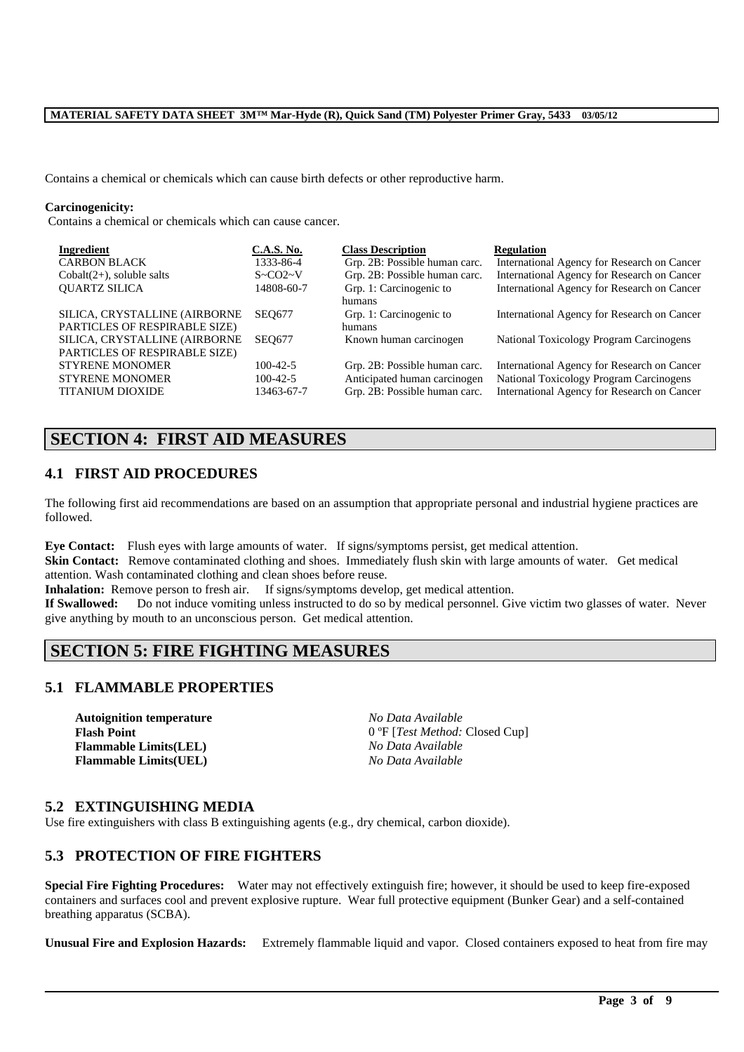Contains a chemical or chemicals which can cause birth defects or other reproductive harm.

#### **Carcinogenicity:**

Contains a chemical or chemicals which can cause cancer.

| Ingredient                    | <b>C.A.S. No.</b>   | <b>Class Description</b>      | <b>Regulation</b>                           |
|-------------------------------|---------------------|-------------------------------|---------------------------------------------|
| <b>CARBON BLACK</b>           | 1333-86-4           | Grp. 2B: Possible human carc. | International Agency for Research on Cancer |
| $Cobalt(2+)$ , soluble salts  | $S \sim CO2 \sim V$ | Grp. 2B: Possible human carc. | International Agency for Research on Cancer |
| <b>OUARTZ SILICA</b>          | 14808-60-7          | Grp. 1: Carcinogenic to       | International Agency for Research on Cancer |
|                               |                     | humans                        |                                             |
| SILICA, CRYSTALLINE (AIRBORNE | <b>SEO677</b>       | Grp. 1: Carcinogenic to       | International Agency for Research on Cancer |
| PARTICLES OF RESPIRABLE SIZE) |                     | humans                        |                                             |
| SILICA, CRYSTALLINE (AIRBORNE | <b>SEO677</b>       | Known human carcinogen        | National Toxicology Program Carcinogens     |
| PARTICLES OF RESPIRABLE SIZE) |                     |                               |                                             |
| <b>STYRENE MONOMER</b>        | $100-42-5$          | Grp. 2B: Possible human carc. | International Agency for Research on Cancer |
| <b>STYRENE MONOMER</b>        | $100-42-5$          | Anticipated human carcinogen  | National Toxicology Program Carcinogens     |
| <b>TITANIUM DIOXIDE</b>       | 13463-67-7          | Grp. 2B: Possible human carc. | International Agency for Research on Cancer |
|                               |                     |                               |                                             |

## **SECTION 4: FIRST AID MEASURES**

### **4.1 FIRST AID PROCEDURES**

The following first aid recommendations are based on an assumption that appropriate personal and industrial hygiene practices are followed.

**Eye Contact:** Flush eyes with large amounts of water. If signs/symptoms persist, get medical attention.

**Skin Contact:** Remove contaminated clothing and shoes. Immediately flush skin with large amounts of water. Get medical attention. Wash contaminated clothing and clean shoes before reuse.

**Inhalation:** Remove person to fresh air. If signs/symptoms develop, get medical attention.

**If Swallowed:** Do not induce vomiting unless instructed to do so by medical personnel. Give victim two glasses of water. Never give anything by mouth to an unconscious person. Get medical attention.

## **SECTION 5: FIRE FIGHTING MEASURES**

### **5.1 FLAMMABLE PROPERTIES**

**Autoignition temperature** *No Data Available* **Flammable Limits(LEL)** *No Data Available* **Flammable Limits(UEL)** *No Data Available*

Flash Point 0 °F [*Test Method: Closed Cup*]

### **5.2 EXTINGUISHING MEDIA**

Use fire extinguishers with class B extinguishing agents (e.g., dry chemical, carbon dioxide).

### **5.3 PROTECTION OF FIRE FIGHTERS**

**Special Fire Fighting Procedures:** Water may not effectively extinguish fire; however, it should be used to keep fire-exposed containers and surfaces cool and prevent explosive rupture. Wear full protective equipment (Bunker Gear) and a self-contained breathing apparatus (SCBA).

**Unusual Fire and Explosion Hazards:** Extremely flammable liquid and vapor. Closed containers exposed to heat from fire may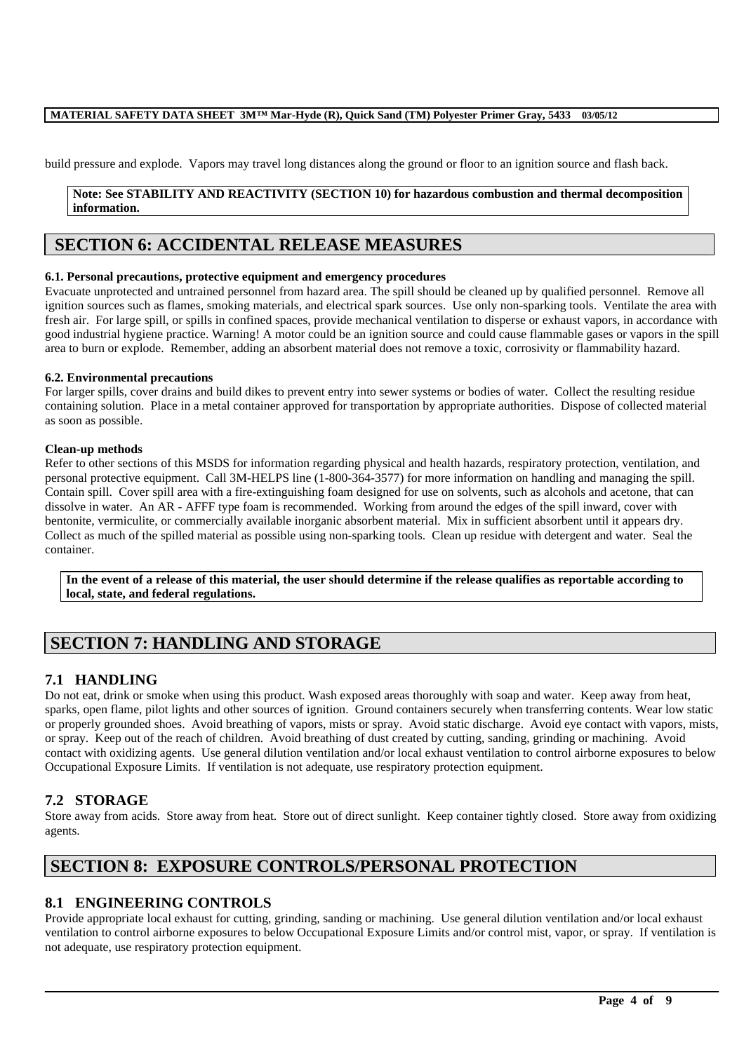build pressure and explode. Vapors may travel long distances along the ground or floor to an ignition source and flash back.

### **Note: See STABILITY AND REACTIVITY (SECTION 10) for hazardous combustion and thermal decomposition information.**

# **SECTION 6: ACCIDENTAL RELEASE MEASURES**

### **6.1. Personal precautions, protective equipment and emergency procedures**

Evacuate unprotected and untrained personnel from hazard area. The spill should be cleaned up by qualified personnel. Remove all ignition sources such as flames, smoking materials, and electrical spark sources. Use only non-sparking tools. Ventilate the area with fresh air. For large spill, or spills in confined spaces, provide mechanical ventilation to disperse or exhaust vapors, in accordance with good industrial hygiene practice. Warning! A motor could be an ignition source and could cause flammable gases or vapors in the spill area to burn or explode. Remember, adding an absorbent material does not remove a toxic, corrosivity or flammability hazard.

### **6.2. Environmental precautions**

For larger spills, cover drains and build dikes to prevent entry into sewer systems or bodies of water. Collect the resulting residue containing solution. Place in a metal container approved for transportation by appropriate authorities. Dispose of collected material as soon as possible.

#### **Clean-up methods**

Refer to other sections of this MSDS for information regarding physical and health hazards, respiratory protection, ventilation, and personal protective equipment. Call 3M-HELPS line (1-800-364-3577) for more information on handling and managing the spill. Contain spill. Cover spill area with a fire-extinguishing foam designed for use on solvents, such as alcohols and acetone, that can dissolve in water. An AR - AFFF type foam is recommended. Working from around the edges of the spill inward, cover with bentonite, vermiculite, or commercially available inorganic absorbent material. Mix in sufficient absorbent until it appears dry. Collect as much of the spilled material as possible using non-sparking tools. Clean up residue with detergent and water. Seal the container.

**In the event of a release of this material, the user should determine if the release qualifies as reportable according to local, state, and federal regulations.**

# **SECTION 7: HANDLING AND STORAGE**

### **7.1 HANDLING**

Do not eat, drink or smoke when using this product. Wash exposed areas thoroughly with soap and water. Keep away from heat, sparks, open flame, pilot lights and other sources of ignition. Ground containers securely when transferring contents. Wear low static or properly grounded shoes. Avoid breathing of vapors, mists or spray. Avoid static discharge. Avoid eye contact with vapors, mists, or spray. Keep out of the reach of children. Avoid breathing of dust created by cutting, sanding, grinding or machining. Avoid contact with oxidizing agents. Use general dilution ventilation and/or local exhaust ventilation to control airborne exposures to below Occupational Exposure Limits. If ventilation is not adequate, use respiratory protection equipment.

### **7.2 STORAGE**

Store away from acids. Store away from heat. Store out of direct sunlight. Keep container tightly closed. Store away from oxidizing agents.

## **SECTION 8: EXPOSURE CONTROLS/PERSONAL PROTECTION**

### **8.1 ENGINEERING CONTROLS**

Provide appropriate local exhaust for cutting, grinding, sanding or machining. Use general dilution ventilation and/or local exhaust ventilation to control airborne exposures to below Occupational Exposure Limits and/or control mist, vapor, or spray. If ventilation is not adequate, use respiratory protection equipment.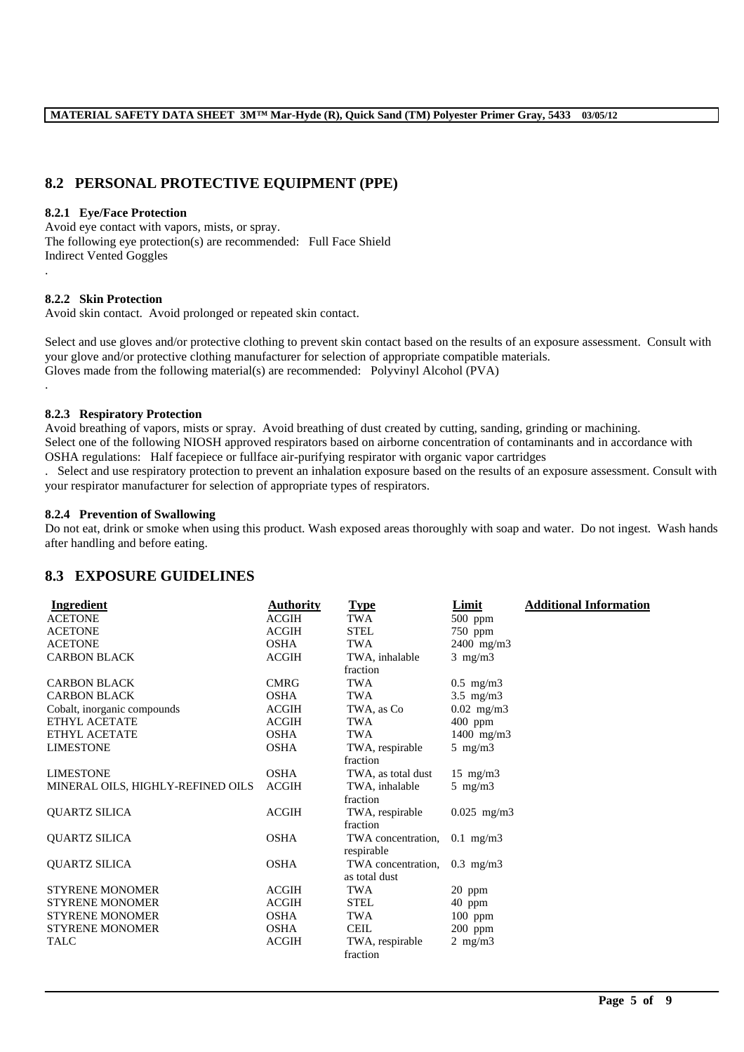### **8.2 PERSONAL PROTECTIVE EQUIPMENT (PPE)**

### **8.2.1 Eye/Face Protection**

Avoid eye contact with vapors, mists, or spray. The following eye protection(s) are recommended: Full Face Shield Indirect Vented Goggles

### **8.2.2 Skin Protection**

Avoid skin contact. Avoid prolonged or repeated skin contact.

Select and use gloves and/or protective clothing to prevent skin contact based on the results of an exposure assessment. Consult with your glove and/or protective clothing manufacturer for selection of appropriate compatible materials. Gloves made from the following material(s) are recommended: Polyvinyl Alcohol (PVA)

.

.

#### **8.2.3 Respiratory Protection**

Avoid breathing of vapors, mists or spray. Avoid breathing of dust created by cutting, sanding, grinding or machining. Select one of the following NIOSH approved respirators based on airborne concentration of contaminants and in accordance with OSHA regulations: Half facepiece or fullface air-purifying respirator with organic vapor cartridges

. Select and use respiratory protection to prevent an inhalation exposure based on the results of an exposure assessment. Consult with your respirator manufacturer for selection of appropriate types of respirators.

#### **8.2.4 Prevention of Swallowing**

Do not eat, drink or smoke when using this product. Wash exposed areas thoroughly with soap and water. Do not ingest. Wash hands after handling and before eating.

### **8.3 EXPOSURE GUIDELINES**

| Ingredient                        | <b>Authority</b> | <b>Type</b>        | Limit             | <b>Additional Information</b> |
|-----------------------------------|------------------|--------------------|-------------------|-------------------------------|
| <b>ACETONE</b>                    | <b>ACGIH</b>     | TWA                | 500 ppm           |                               |
| <b>ACETONE</b>                    | <b>ACGIH</b>     | <b>STEL</b>        | $750$ ppm         |                               |
| <b>ACETONE</b>                    | <b>OSHA</b>      | <b>TWA</b>         | $2400$ mg/m $3$   |                               |
| <b>CARBON BLACK</b>               | <b>ACGIH</b>     | TWA, inhalable     | $3$ mg/m $3$      |                               |
|                                   |                  | fraction           |                   |                               |
| <b>CARBON BLACK</b>               | <b>CMRG</b>      | TWA                | $0.5$ mg/m $3$    |                               |
| <b>CARBON BLACK</b>               | <b>OSHA</b>      | <b>TWA</b>         | $3.5$ mg/m $3$    |                               |
| Cobalt, inorganic compounds       | <b>ACGIH</b>     | TWA, as Co         | $0.02$ mg/m3      |                               |
| ETHYL ACETATE                     | <b>ACGIH</b>     | TWA                | $400$ ppm         |                               |
| <b>ETHYL ACETATE</b>              | <b>OSHA</b>      | <b>TWA</b>         | $1400$ mg/m3      |                               |
| <b>LIMESTONE</b>                  | <b>OSHA</b>      | TWA, respirable    | $5 \text{ mg/m}$  |                               |
|                                   |                  | fraction           |                   |                               |
| <b>LIMESTONE</b>                  | <b>OSHA</b>      | TWA, as total dust | $15 \text{ mg/m}$ |                               |
| MINERAL OILS, HIGHLY-REFINED OILS | <b>ACGIH</b>     | TWA, inhalable     | $5 \text{ mg/m}$  |                               |
|                                   |                  | fraction           |                   |                               |
| QUARTZ SILICA                     | <b>ACGIH</b>     | TWA, respirable    | $0.025$ mg/m3     |                               |
|                                   |                  | fraction           |                   |                               |
| <b>QUARTZ SILICA</b>              | <b>OSHA</b>      | TWA concentration, | $0.1$ mg/m3       |                               |
|                                   |                  | respirable         |                   |                               |
| <b>QUARTZ SILICA</b>              | <b>OSHA</b>      | TWA concentration. | $0.3$ mg/m $3$    |                               |
|                                   |                  | as total dust      |                   |                               |
| <b>STYRENE MONOMER</b>            | <b>ACGIH</b>     | <b>TWA</b>         | 20 ppm            |                               |
| <b>STYRENE MONOMER</b>            | <b>ACGIH</b>     | <b>STEL</b>        | 40 ppm            |                               |
| <b>STYRENE MONOMER</b>            | <b>OSHA</b>      | TWA                | $100$ ppm         |                               |
| STYRENE MONOMER                   | <b>OSHA</b>      | <b>CEIL</b>        | $200$ ppm         |                               |
| <b>TALC</b>                       | <b>ACGIH</b>     | TWA, respirable    | $2 \text{ mg/m}$  |                               |
|                                   |                  | fraction           |                   |                               |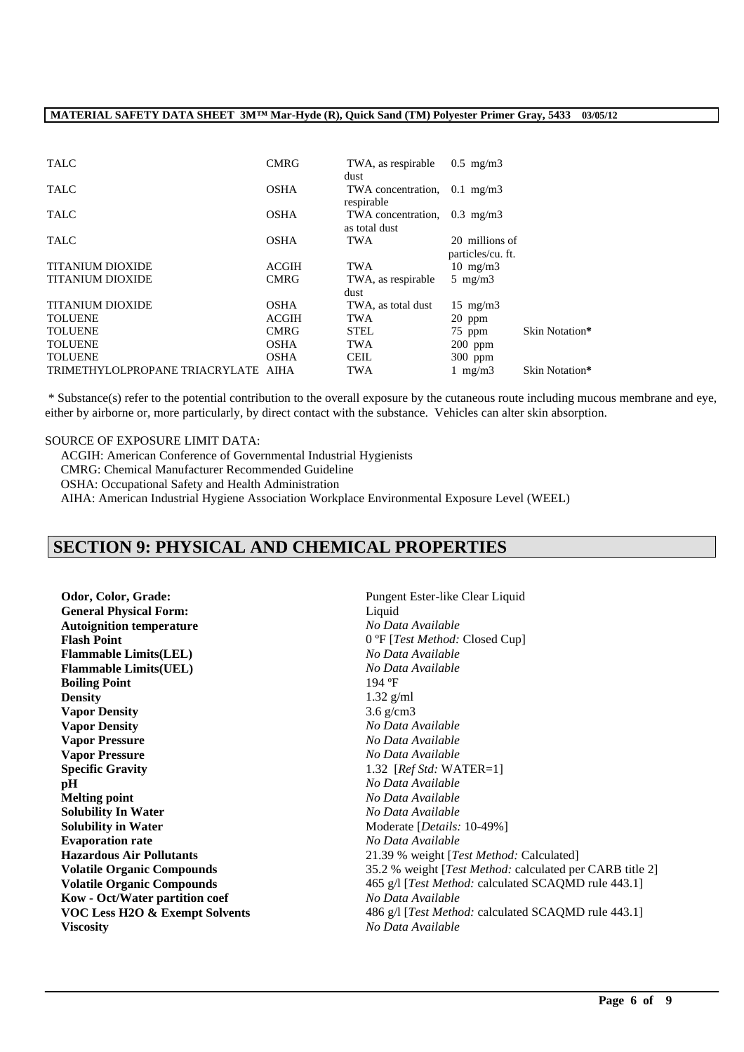| <b>TALC</b>                         | <b>CMRG</b>  | TWA, as respirable<br>dust                          | $0.5$ mg/m $3$                      |                |
|-------------------------------------|--------------|-----------------------------------------------------|-------------------------------------|----------------|
| <b>TALC</b>                         | <b>OSHA</b>  | TWA concentration, $0.1 \text{ mg/m}$<br>respirable |                                     |                |
| <b>TALC</b>                         | <b>OSHA</b>  | TWA concentration,<br>as total dust                 | $0.3$ mg/m $3$                      |                |
| <b>TALC</b>                         | <b>OSHA</b>  | TWA                                                 | 20 millions of<br>particles/cu. ft. |                |
| <b>TITANIUM DIOXIDE</b>             | <b>ACGIH</b> | <b>TWA</b>                                          | $10 \text{ mg/m}$                   |                |
| <b>TITANIUM DIOXIDE</b>             | <b>CMRG</b>  | TWA, as respirable                                  | 5 mg/m $3$                          |                |
|                                     |              | dust                                                |                                     |                |
| <b>TITANIUM DIOXIDE</b>             | <b>OSHA</b>  | TWA, as total dust                                  | $15 \text{ mg/m}$                   |                |
| <b>TOLUENE</b>                      | <b>ACGIH</b> | <b>TWA</b>                                          | $20$ ppm                            |                |
| <b>TOLUENE</b>                      | <b>CMRG</b>  | <b>STEL</b>                                         | 75 ppm                              | Skin Notation* |
| <b>TOLUENE</b>                      | <b>OSHA</b>  | <b>TWA</b>                                          | $200$ ppm                           |                |
| <b>TOLUENE</b>                      | <b>OSHA</b>  | <b>CEIL</b>                                         | $300$ ppm                           |                |
| TRIMETHYLOLPROPANE TRIACRYLATE AIHA |              | TWA                                                 | 1 mg/m $3$                          | Skin Notation* |

\* Substance(s) refer to the potential contribution to the overall exposure by the cutaneous route including mucous membrane and eye, either by airborne or, more particularly, by direct contact with the substance. Vehicles can alter skin absorption.

\_\_\_\_\_\_\_\_\_\_\_\_\_\_\_\_\_\_\_\_\_\_\_\_\_\_\_\_\_\_\_\_\_\_\_\_\_\_\_\_\_\_\_\_\_\_\_\_\_\_\_\_\_\_\_\_\_\_\_\_\_\_\_\_\_\_\_\_\_\_\_\_\_\_\_\_\_\_\_\_\_\_\_\_\_\_\_\_\_\_\_\_\_\_\_\_\_

#### SOURCE OF EXPOSURE LIMIT DATA:

ACGIH: American Conference of Governmental Industrial Hygienists CMRG: Chemical Manufacturer Recommended Guideline OSHA: Occupational Safety and Health Administration AIHA: American Industrial Hygiene Association Workplace Environmental Exposure Level (WEEL)

# **SECTION 9: PHYSICAL AND CHEMICAL PROPERTIES**

**Odor, Color, Grade: Pungent Ester-like Clear Liquid Pungent Ester-like Clear Liquid General Physical Form:** Liquid **Autoignition temperature** *No Data Available* **Flash Point** 0 °F [*Test Method:* Closed Cup] **Flammable Limits(LEL)** *No Data Available* **Flammable Limits(UEL)** *No Data No Data* **Boiling Point** 194 °F **Boiling Point Density** 1.32 g/ml **Vapor Density** 3.6 g/cm3 **Vapor Density** *No Data Available* **Vapor Pressure** *No Data Available* **Vapor Pressure** *No Data Available* **Specific Gravity** 1.32 [*Ref Std:* WATER=1] **pH** *No Data Available* **Melting point** *No Data Available* **Solubility In Water** *No Data Available* **Solubility in Water** Moderate [*Details:* 10-49%] **Evaporation rate** *No Data Available* **Kow - Oct/Water partition coef** *No Data Available* **Viscosity** *No Data Available*

**Hazardous Air Pollutants** 21.39 % weight [*Test Method:* Calculated] **Volatile Organic Compounds** 35.2 % weight [*Test Method:* calculated per CARB title 2] **Volatile Organic Compounds** 465 g/l [*Test Method: calculated SCAQMD rule 443.1]* **VOC Less H2O & Exempt Solvents** 486 g/l [*Test Method: calculated SCAQMD rule 443.1]*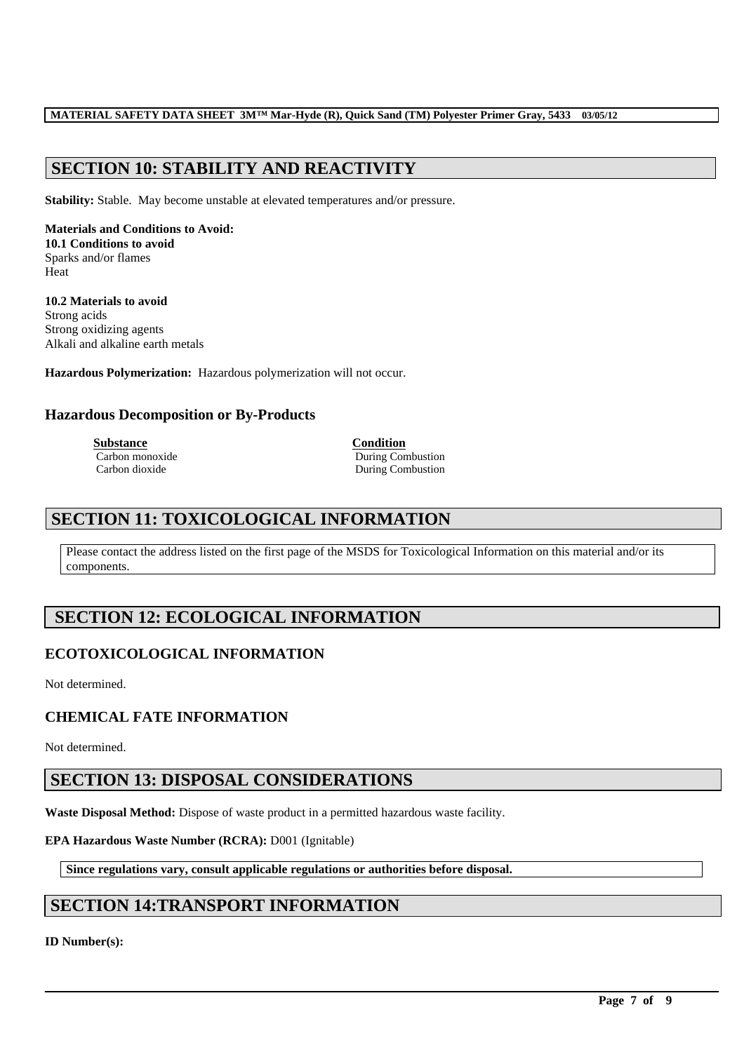# **SECTION 10: STABILITY AND REACTIVITY**

**Stability:** Stable. May become unstable at elevated temperatures and/or pressure.

**Materials and Conditions to Avoid: 10.1 Conditions to avoid** Sparks and/or flames Heat

**10.2 Materials to avoid** Strong acids Strong oxidizing agents Alkali and alkaline earth metals

**Hazardous Polymerization:** Hazardous polymerization will not occur.

### **Hazardous Decomposition or By-Products**

**Substance Condition**<br> **Carbon monoxide Carbon <b>Condition**<br> **Condition** 

During Combustion Carbon dioxide During Combustion

## **SECTION 11: TOXICOLOGICAL INFORMATION**

Please contact the address listed on the first page of the MSDS for Toxicological Information on this material and/or its components.

\_\_\_\_\_\_\_\_\_\_\_\_\_\_\_\_\_\_\_\_\_\_\_\_\_\_\_\_\_\_\_\_\_\_\_\_\_\_\_\_\_\_\_\_\_\_\_\_\_\_\_\_\_\_\_\_\_\_\_\_\_\_\_\_\_\_\_\_\_\_\_\_\_\_\_\_\_\_\_\_\_\_\_\_\_\_\_\_\_\_\_\_\_\_\_\_\_

## **SECTION 12: ECOLOGICAL INFORMATION**

### **ECOTOXICOLOGICAL INFORMATION**

Not determined.

### **CHEMICAL FATE INFORMATION**

Not determined.

## **SECTION 13: DISPOSAL CONSIDERATIONS**

**Waste Disposal Method:** Dispose of waste product in a permitted hazardous waste facility.

### **EPA Hazardous Waste Number (RCRA):** D001 (Ignitable)

**Since regulations vary, consult applicable regulations or authorities before disposal.**

## **SECTION 14:TRANSPORT INFORMATION**

**ID Number(s):**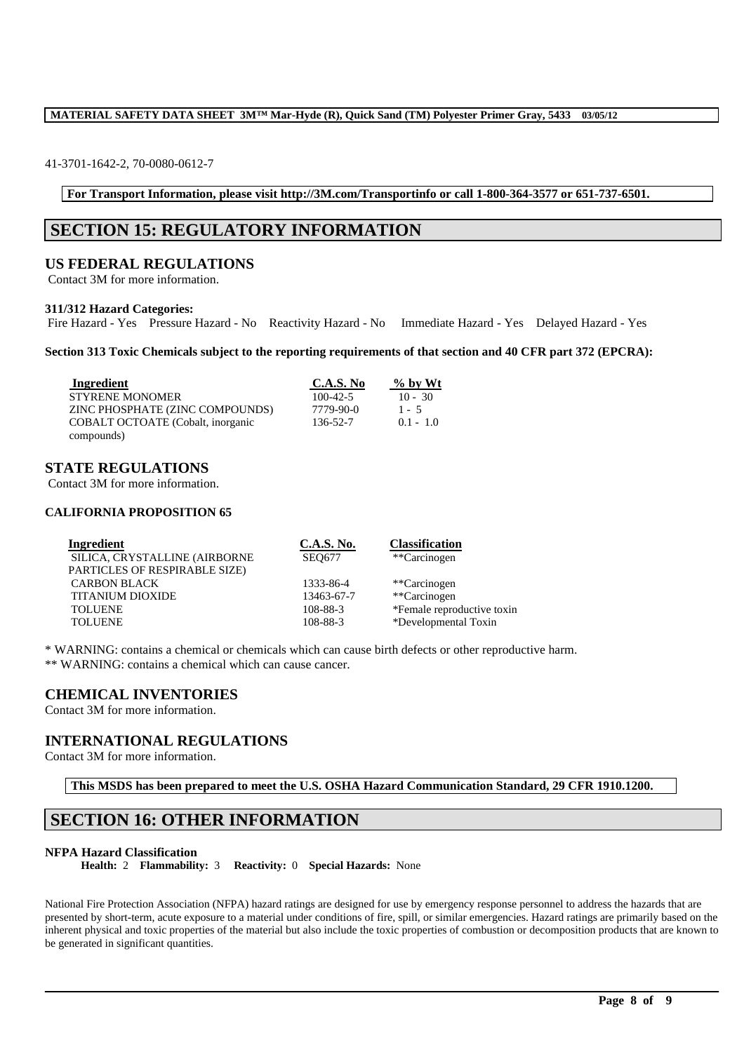#### 41-3701-1642-2, 70-0080-0612-7

**For Transport Information, please visit http://3M.com/Transportinfo or call 1-800-364-3577 or 651-737-6501.**

## **SECTION 15: REGULATORY INFORMATION**

### **US FEDERAL REGULATIONS**

Contact 3M for more information.

#### **311/312 Hazard Categories:**

Fire Hazard - Yes Pressure Hazard - No Reactivity Hazard - No Immediate Hazard - Yes Delayed Hazard - Yes

**Section 313 Toxic Chemicals subject to the reporting requirements of that section and 40 CFR part 372 (EPCRA):**

| Ingredient                        | <b>C.A.S. No</b> | $\%$ by Wt  |
|-----------------------------------|------------------|-------------|
| <b>STYRENE MONOMER</b>            | $100 - 42 - 5$   | $10 - 30$   |
| ZINC PHOSPHATE (ZINC COMPOUNDS)   | 7779-90-0        | $1 - 5$     |
| COBALT OCTOATE (Cobalt, inorganic | 136-52-7         | $0.1 - 1.0$ |
| compounds)                        |                  |             |

### **STATE REGULATIONS**

Contact 3M for more information.

### **CALIFORNIA PROPOSITION 65**

| <u>C.A.S. No.</u> | <b>Classification</b>      |
|-------------------|----------------------------|
| <b>SEO677</b>     | **Carcinogen               |
|                   |                            |
| 1333-86-4         | **Carcinogen               |
| 13463-67-7        | **Carcinogen               |
| 108-88-3          | *Female reproductive toxin |
| 108-88-3          | *Developmental Toxin       |
|                   |                            |

\* WARNING: contains a chemical or chemicals which can cause birth defects or other reproductive harm. \*\* WARNING: contains a chemical which can cause cancer.

### **CHEMICAL INVENTORIES**

Contact 3M for more information.

### **INTERNATIONAL REGULATIONS**

Contact 3M for more information.

**This MSDS has been prepared to meet the U.S. OSHA Hazard Communication Standard, 29 CFR 1910.1200.**

## **SECTION 16: OTHER INFORMATION**

#### **NFPA Hazard Classification**

**Health:** 2 **Flammability:** 3 **Reactivity:** 0 **Special Hazards:** None

National Fire Protection Association (NFPA) hazard ratings are designed for use by emergency response personnel to address the hazards that are presented by short-term, acute exposure to a material under conditions of fire, spill, or similar emergencies. Hazard ratings are primarily based on the inherent physical and toxic properties of the material but also include the toxic properties of combustion or decomposition products that are known to be generated in significant quantities.